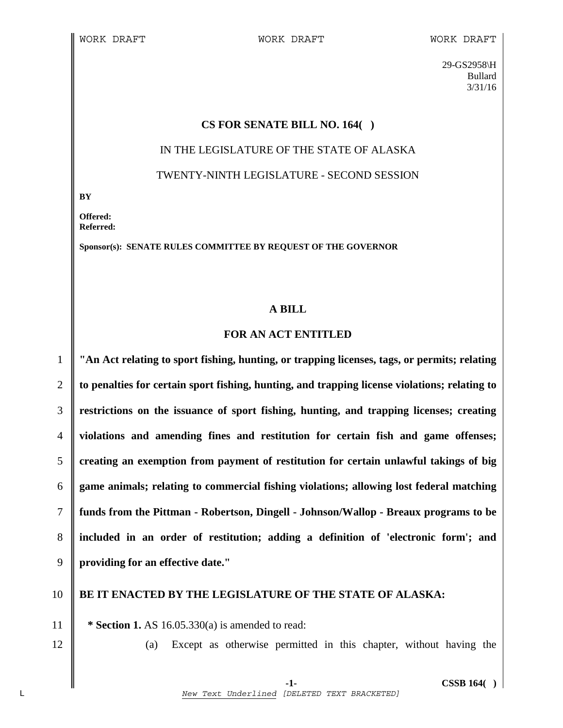29-GS2958\H Bullard 3/31/16

#### **CS FOR SENATE BILL NO. 164( )**

# IN THE LEGISLATURE OF THE STATE OF ALASKA TWENTY-NINTH LEGISLATURE - SECOND SESSION

**BY** 

**Offered: Referred:** 

**Sponsor(s): SENATE RULES COMMITTEE BY REQUEST OF THE GOVERNOR** 

#### **A BILL**

### **FOR AN ACT ENTITLED**

**"An Act relating to sport fishing, hunting, or trapping licenses, tags, or permits; relating to penalties for certain sport fishing, hunting, and trapping license violations; relating to restrictions on the issuance of sport fishing, hunting, and trapping licenses; creating violations and amending fines and restitution for certain fish and game offenses; creating an exemption from payment of restitution for certain unlawful takings of big game animals; relating to commercial fishing violations; allowing lost federal matching funds from the Pittman - Robertson, Dingell - Johnson/Wallop - Breaux programs to be included in an order of restitution; adding a definition of 'electronic form'; and providing for an effective date."** 

## 10 **BE IT ENACTED BY THE LEGISLATURE OF THE STATE OF ALASKA:**

11 **\* Section 1.** AS 16.05.330(a) is amended to read:

12 || (a) Except as otherwise permitted in this chapter, without having the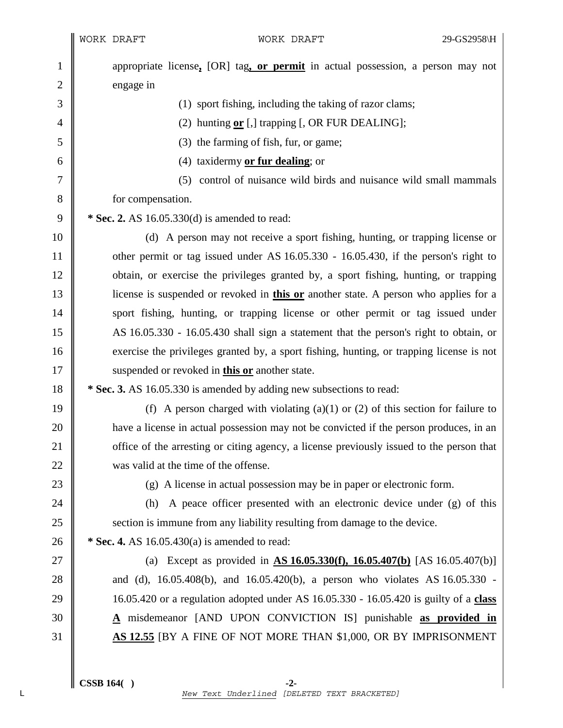|                | WORK DRAFT        |                                                                                             | WORK DRAFT                                                     | 29-GS2958\H |
|----------------|-------------------|---------------------------------------------------------------------------------------------|----------------------------------------------------------------|-------------|
| $\mathbf{1}$   |                   | appropriate license, [OR] tag, or permit in actual possession, a person may not             |                                                                |             |
| $\overline{c}$ | engage in         |                                                                                             |                                                                |             |
| 3              |                   | (1) sport fishing, including the taking of razor clams;                                     |                                                                |             |
| 4              |                   | (2) hunting $or$ [,] trapping [, OR FUR DEALING];                                           |                                                                |             |
| 5              |                   | (3) the farming of fish, fur, or game;                                                      |                                                                |             |
| 6              |                   | (4) taxidermy $or fur dealing; or$                                                          |                                                                |             |
| 7              |                   | (5)                                                                                         | control of nuisance wild birds and nuisance wild small mammals |             |
| 8              | for compensation. |                                                                                             |                                                                |             |
| 9              |                   | * Sec. 2. AS 16.05.330(d) is amended to read:                                               |                                                                |             |
| 10             |                   | (d) A person may not receive a sport fishing, hunting, or trapping license or               |                                                                |             |
| 11             |                   | other permit or tag issued under AS 16.05.330 - 16.05.430, if the person's right to         |                                                                |             |
| 12             |                   | obtain, or exercise the privileges granted by, a sport fishing, hunting, or trapping        |                                                                |             |
| 13             |                   | license is suspended or revoked in <b>this or</b> another state. A person who applies for a |                                                                |             |
| 14             |                   | sport fishing, hunting, or trapping license or other permit or tag issued under             |                                                                |             |
| 15             |                   | AS 16.05.330 - 16.05.430 shall sign a statement that the person's right to obtain, or       |                                                                |             |
| 16             |                   | exercise the privileges granted by, a sport fishing, hunting, or trapping license is not    |                                                                |             |
| 17             |                   | suspended or revoked in <b>this or</b> another state.                                       |                                                                |             |
| 18             |                   | * Sec. 3. AS 16.05.330 is amended by adding new subsections to read:                        |                                                                |             |
| 19             |                   | (f) A person charged with violating $(a)(1)$ or $(2)$ of this section for failure to        |                                                                |             |
| 20             |                   | have a license in actual possession may not be convicted if the person produces, in an      |                                                                |             |
| 21             |                   | office of the arresting or citing agency, a license previously issued to the person that    |                                                                |             |
| 22             |                   | was valid at the time of the offense.                                                       |                                                                |             |
| 23             |                   | (g) A license in actual possession may be in paper or electronic form.                      |                                                                |             |
| 24             | (h)               | A peace officer presented with an electronic device under (g) of this                       |                                                                |             |
| 25             |                   | section is immune from any liability resulting from damage to the device.                   |                                                                |             |
| 26             |                   | * Sec. 4. AS $16.05.430(a)$ is amended to read:                                             |                                                                |             |
| 27             |                   | (a) Except as provided in $\Delta S$ 16.05.330(f), 16.05.407(b) [AS 16.05.407(b)]           |                                                                |             |
| 28             |                   | and (d), 16.05.408(b), and 16.05.420(b), a person who violates AS 16.05.330 -               |                                                                |             |
| 29             |                   | 16.05.420 or a regulation adopted under AS 16.05.330 - 16.05.420 is guilty of a class       |                                                                |             |
| 30             |                   | A misdemeanor [AND UPON CONVICTION IS] punishable as provided in                            |                                                                |             |
| 31             |                   | AS 12.55 [BY A FINE OF NOT MORE THAN \$1,000, OR BY IMPRISONMENT                            |                                                                |             |
|                |                   |                                                                                             |                                                                |             |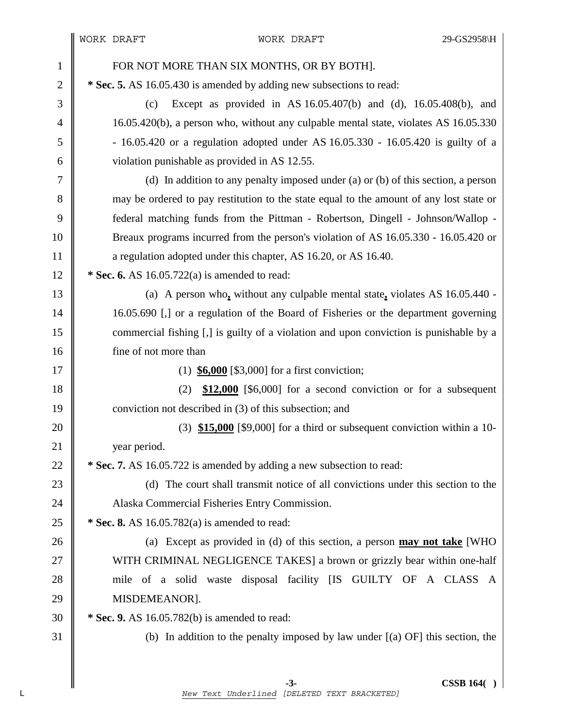| $\mathbf{1}$   | FOR NOT MORE THAN SIX MONTHS, OR BY BOTH].                                              |  |  |
|----------------|-----------------------------------------------------------------------------------------|--|--|
| $\overline{2}$ | * Sec. 5. AS 16.05.430 is amended by adding new subsections to read:                    |  |  |
| 3              | Except as provided in AS $16.05.407(b)$ and (d), $16.05.408(b)$ , and<br>(c)            |  |  |
| 4              | 16.05.420(b), a person who, without any culpable mental state, violates AS 16.05.330    |  |  |
| 5              | $-16.05.420$ or a regulation adopted under AS $16.05.330 - 16.05.420$ is guilty of a    |  |  |
| 6              | violation punishable as provided in AS 12.55.                                           |  |  |
| 7              | (d) In addition to any penalty imposed under (a) or (b) of this section, a person       |  |  |
| 8              | may be ordered to pay restitution to the state equal to the amount of any lost state or |  |  |
| 9              | federal matching funds from the Pittman - Robertson, Dingell - Johnson/Wallop -         |  |  |
| 10             | Breaux programs incurred from the person's violation of AS 16.05.330 - 16.05.420 or     |  |  |
| 11             | a regulation adopted under this chapter, AS 16.20, or AS 16.40.                         |  |  |
| 12             | * Sec. 6. AS $16.05.722(a)$ is amended to read:                                         |  |  |
| 13             | (a) A person who, without any culpable mental state, violates AS $16.05.440$ -          |  |  |
| 14             | 16.05.690 [,] or a regulation of the Board of Fisheries or the department governing     |  |  |
| 15             | commercial fishing [,] is guilty of a violation and upon conviction is punishable by a  |  |  |
| 16             | fine of not more than                                                                   |  |  |
| 17             | (1) $$6,000$ [\$3,000] for a first conviction;                                          |  |  |
| 18             | \$12,000 [\$6,000] for a second conviction or for a subsequent<br>(2)                   |  |  |
| 19             | conviction not described in (3) of this subsection; and                                 |  |  |
| 20             | $(3)$ \$15,000 [\$9,000] for a third or subsequent conviction within a 10-              |  |  |
| 21             | year period.                                                                            |  |  |
| $22\,$         | * Sec. 7. AS 16.05.722 is amended by adding a new subsection to read:                   |  |  |
| 23             | (d) The court shall transmit notice of all convictions under this section to the        |  |  |
| 24             | Alaska Commercial Fisheries Entry Commission.                                           |  |  |
| 25             | * Sec. 8. AS 16.05.782(a) is amended to read:                                           |  |  |
| 26             | (a) Except as provided in (d) of this section, a person may not take [WHO               |  |  |
| 27             | WITH CRIMINAL NEGLIGENCE TAKES] a brown or grizzly bear within one-half                 |  |  |
| 28             | mile of a solid waste disposal facility [IS GUILTY OF A CLASS A                         |  |  |
| 29             | MISDEMEANOR].                                                                           |  |  |
|                |                                                                                         |  |  |
| 30             | $*$ Sec. 9. AS 16.05.782(b) is amended to read:                                         |  |  |
| 31             | (b) In addition to the penalty imposed by law under $[(a)$ OF] this section, the        |  |  |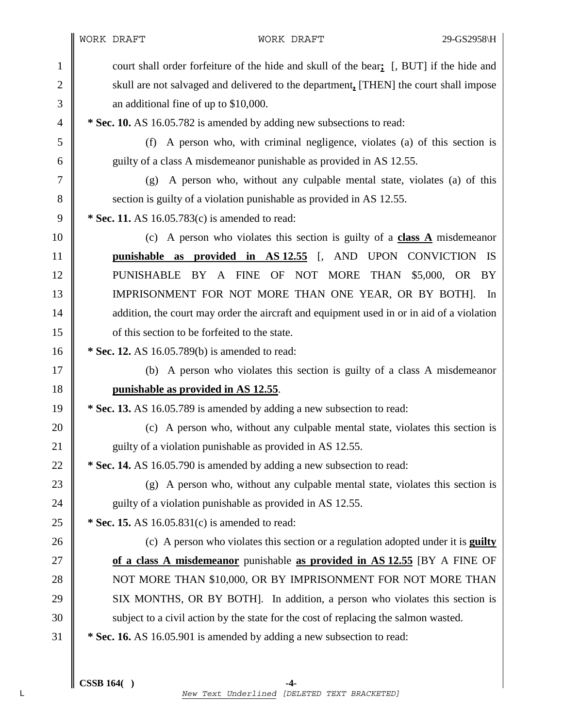1 court shall order forfeiture of the hide and skull of the bear**;** [, BUT] if the hide and 2 skull are not salvaged and delivered to the department**,** [THEN] the court shall impose 3 **a** additional fine of up to \$10,000.

4 **\* Sec. 10.** AS 16.05.782 is amended by adding new subsections to read:

5 (f) A person who, with criminal negligence, violates (a) of this section is 6 guilty of a class A misdemeanor punishable as provided in AS 12.55.

7 (g) A person who, without any culpable mental state, violates (a) of this 8 Superior is guilty of a violation punishable as provided in AS 12.55.

9 **\* Sec. 11.** AS 16.05.783(c) is amended to read:

10 (c) A person who violates this section is guilty of a **class A** misdemeanor 11 **punishable as provided in AS 12.55** [, AND UPON CONVICTION IS 12 PUNISHABLE BY A FINE OF NOT MORE THAN \$5,000, OR BY 13 | IMPRISONMENT FOR NOT MORE THAN ONE YEAR, OR BY BOTH]. In 14 addition, the court may order the aircraft and equipment used in or in aid of a violation 15 **I** of this section to be forfeited to the state.

16 **\*** Sec. 12. AS 16.05.789(b) is amended to read:

17 (b) A person who violates this section is guilty of a class A misdemeanor 18 **punishable as provided in AS 12.55**.

19 **\* Sec. 13.** AS 16.05.789 is amended by adding a new subsection to read:

20 (c) A person who, without any culpable mental state, violates this section is 21 guilty of a violation punishable as provided in AS 12.55.

22 **\*** Sec. 14. AS 16.05.790 is amended by adding a new subsection to read:

23  $\parallel$  (g) A person who, without any culpable mental state, violates this section is 24 guilty of a violation punishable as provided in AS 12.55.

25 **\*** Sec. 15. AS 16.05.831(c) is amended to read:

26 (c) A person who violates this section or a regulation adopted under it is **guilty**  27 **of a class A misdemeanor** punishable **as provided in AS 12.55** [BY A FINE OF 28 NOT MORE THAN \$10,000, OR BY IMPRISONMENT FOR NOT MORE THAN 29 SIX MONTHS, OR BY BOTH]. In addition, a person who violates this section is 30 Subject to a civil action by the state for the cost of replacing the salmon wasted.

31 **\* Sec. 16.** AS 16.05.901 is amended by adding a new subsection to read: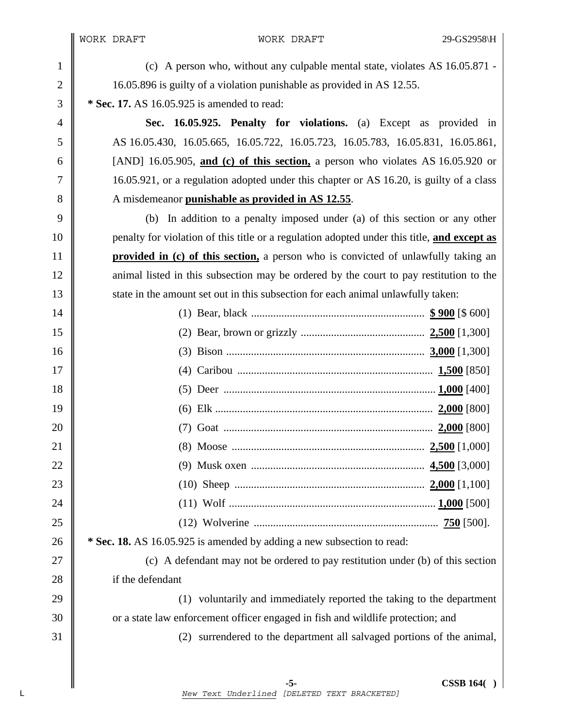1 (c) A person who, without any culpable mental state, violates AS 16.05.871 - 2 16.05.896 is guilty of a violation punishable as provided in AS 12.55.

3 **\* Sec. 17.** AS 16.05.925 is amended to read:

4 **Sec. 16.05.925. Penalty for violations.** (a) Except as provided in 5 AS 16.05.430, 16.05.665, 16.05.722, 16.05.723, 16.05.783, 16.05.831, 16.05.861, 6 [AND] 16.05.905, **and (c) of this section,** a person who violates AS 16.05.920 or 7 16.05.921, or a regulation adopted under this chapter or AS 16.20, is guilty of a class 8 A misdemeanor **punishable as provided in AS 12.55**.

9 (b) In addition to a penalty imposed under (a) of this section or any other 10 penalty for violation of this title or a regulation adopted under this title, **and except as**  11 **provided in (c) of this section,** a person who is convicted of unlawfully taking an 12 animal listed in this subsection may be ordered by the court to pay restitution to the 13 state in the amount set out in this subsection for each animal unlawfully taken:

| 14 |                                                                        |
|----|------------------------------------------------------------------------|
| 15 |                                                                        |
| 16 |                                                                        |
| 17 |                                                                        |
| 18 |                                                                        |
| 19 |                                                                        |
| 20 |                                                                        |
| 21 |                                                                        |
| 22 |                                                                        |
| 23 |                                                                        |
| 24 |                                                                        |
| 25 |                                                                        |
| 26 | * Sec. 18. AS 16.05.925 is amended by adding a new subsection to read: |

27  $\parallel$  (c) A defendant may not be ordered to pay restitution under (b) of this section 28 if the defendant

29 (1) voluntarily and immediately reported the taking to the department 30 or a state law enforcement officer engaged in fish and wildlife protection; and

31 (2) surrendered to the department all salvaged portions of the animal,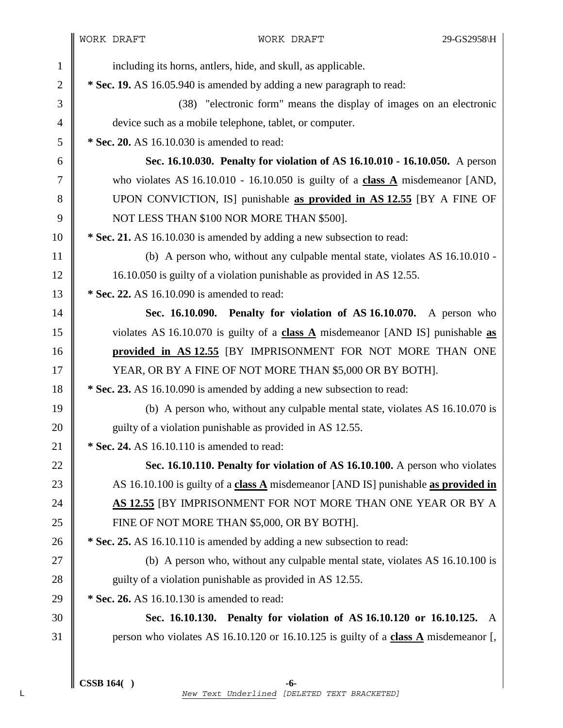| $\mathbf{1}$ | including its horns, antlers, hide, and skull, as applicable.                                    |
|--------------|--------------------------------------------------------------------------------------------------|
| $\mathbf{2}$ | * Sec. 19. AS 16.05.940 is amended by adding a new paragraph to read:                            |
| 3            | (38) "electronic form" means the display of images on an electronic                              |
| 4            | device such as a mobile telephone, tablet, or computer.                                          |
| 5            | * Sec. 20. AS 16.10.030 is amended to read:                                                      |
| 6            | Sec. 16.10.030. Penalty for violation of AS 16.10.010 - 16.10.050. A person                      |
| 7            | who violates AS $16.10.010 - 16.10.050$ is guilty of a class A misdemeanor [AND,                 |
| 8            | UPON CONVICTION, IS] punishable as provided in AS 12.55 [BY A FINE OF                            |
| 9            | NOT LESS THAN \$100 NOR MORE THAN \$500].                                                        |
| 10           | * Sec. 21. AS 16.10.030 is amended by adding a new subsection to read:                           |
| 11           | (b) A person who, without any culpable mental state, violates AS 16.10.010 -                     |
| 12           | 16.10.050 is guilty of a violation punishable as provided in AS 12.55.                           |
| 13           | * Sec. 22. AS 16.10.090 is amended to read:                                                      |
| 14           | Sec. 16.10.090. Penalty for violation of AS 16.10.070. A person who                              |
| 15           | violates AS 16.10.070 is guilty of a class $\overline{A}$ misdemeanor [AND IS] punishable as     |
| 16           | provided in AS 12.55 [BY IMPRISONMENT FOR NOT MORE THAN ONE                                      |
| 17           | YEAR, OR BY A FINE OF NOT MORE THAN \$5,000 OR BY BOTH].                                         |
| 18           | * Sec. 23. AS 16.10.090 is amended by adding a new subsection to read:                           |
| 19           | (b) A person who, without any culpable mental state, violates AS 16.10.070 is                    |
| 20           | guilty of a violation punishable as provided in AS 12.55.                                        |
| 21           | * Sec. 24. AS 16.10.110 is amended to read:                                                      |
| 22           | Sec. 16.10.110. Penalty for violation of AS 16.10.100. A person who violates                     |
| 23           | AS 16.10.100 is guilty of a class $\triangle$ misdemeanor [AND IS] punishable as provided in     |
| 24           | AS 12.55 JBY IMPRISONMENT FOR NOT MORE THAN ONE YEAR OR BY A                                     |
| 25           | FINE OF NOT MORE THAN \$5,000, OR BY BOTH].                                                      |
| 26           | * Sec. 25. AS 16.10.110 is amended by adding a new subsection to read:                           |
| 27           | (b) A person who, without any culpable mental state, violates AS 16.10.100 is                    |
| 28           | guilty of a violation punishable as provided in AS 12.55.                                        |
| 29           | * Sec. 26. AS 16.10.130 is amended to read:                                                      |
| 30           | Sec. 16.10.130. Penalty for violation of AS 16.10.120 or 16.10.125. A                            |
| 31           | person who violates AS 16.10.120 or 16.10.125 is guilty of a class $\overline{A}$ misdemeanor [, |
|              |                                                                                                  |
|              |                                                                                                  |